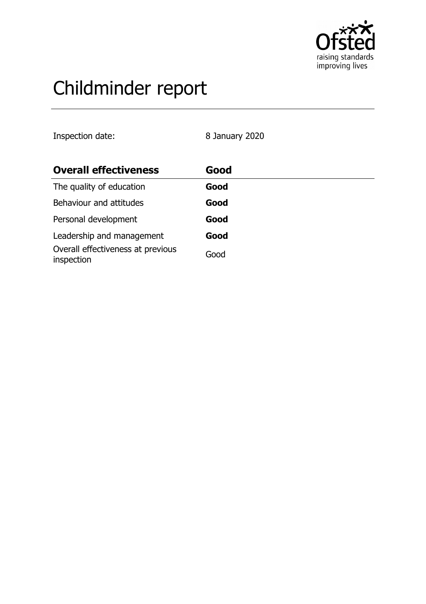

# Childminder report

Inspection date: 8 January 2020

| <b>Overall effectiveness</b>                    | Good |  |
|-------------------------------------------------|------|--|
| The quality of education                        | Good |  |
| Behaviour and attitudes                         | Good |  |
| Personal development                            | Good |  |
| Leadership and management                       | Good |  |
| Overall effectiveness at previous<br>inspection | Good |  |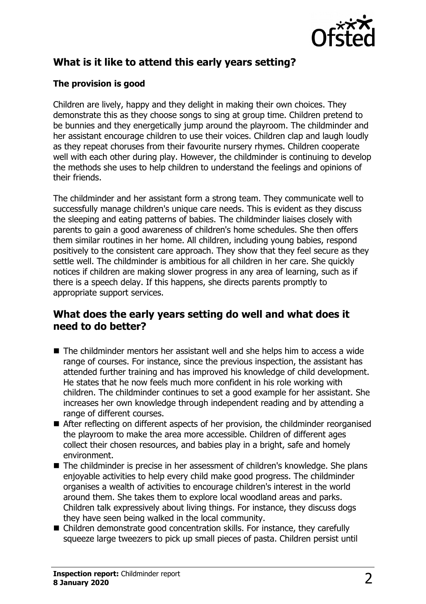

## **What is it like to attend this early years setting?**

### **The provision is good**

Children are lively, happy and they delight in making their own choices. They demonstrate this as they choose songs to sing at group time. Children pretend to be bunnies and they energetically jump around the playroom. The childminder and her assistant encourage children to use their voices. Children clap and laugh loudly as they repeat choruses from their favourite nursery rhymes. Children cooperate well with each other during play. However, the childminder is continuing to develop the methods she uses to help children to understand the feelings and opinions of their friends.

The childminder and her assistant form a strong team. They communicate well to successfully manage children's unique care needs. This is evident as they discuss the sleeping and eating patterns of babies. The childminder liaises closely with parents to gain a good awareness of children's home schedules. She then offers them similar routines in her home. All children, including young babies, respond positively to the consistent care approach. They show that they feel secure as they settle well. The childminder is ambitious for all children in her care. She quickly notices if children are making slower progress in any area of learning, such as if there is a speech delay. If this happens, she directs parents promptly to appropriate support services.

## **What does the early years setting do well and what does it need to do better?**

- $\blacksquare$  The childminder mentors her assistant well and she helps him to access a wide range of courses. For instance, since the previous inspection, the assistant has attended further training and has improved his knowledge of child development. He states that he now feels much more confident in his role working with children. The childminder continues to set a good example for her assistant. She increases her own knowledge through independent reading and by attending a range of different courses.
- $\blacksquare$  After reflecting on different aspects of her provision, the childminder reorganised the playroom to make the area more accessible. Children of different ages collect their chosen resources, and babies play in a bright, safe and homely environment.
- $\blacksquare$  The childminder is precise in her assessment of children's knowledge. She plans enjoyable activities to help every child make good progress. The childminder organises a wealth of activities to encourage children's interest in the world around them. She takes them to explore local woodland areas and parks. Children talk expressively about living things. For instance, they discuss dogs they have seen being walked in the local community.
- Children demonstrate good concentration skills. For instance, they carefully squeeze large tweezers to pick up small pieces of pasta. Children persist until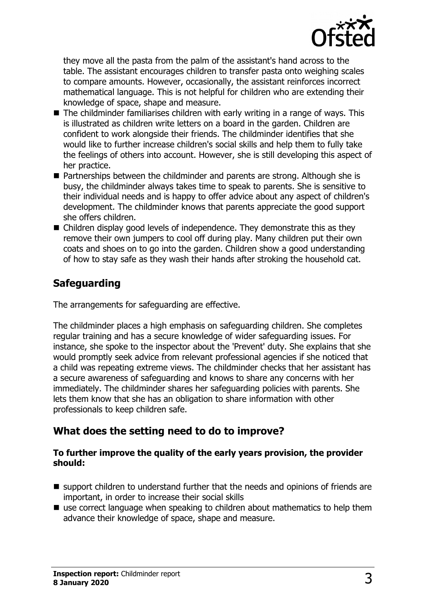

they move all the pasta from the palm of the assistant's hand across to the table. The assistant encourages children to transfer pasta onto weighing scales to compare amounts. However, occasionally, the assistant reinforces incorrect mathematical language. This is not helpful for children who are extending their knowledge of space, shape and measure.

- $\blacksquare$  The childminder familiarises children with early writing in a range of ways. This is illustrated as children write letters on a board in the garden. Children are confident to work alongside their friends. The childminder identifies that she would like to further increase children's social skills and help them to fully take the feelings of others into account. However, she is still developing this aspect of her practice.
- $\blacksquare$  Partnerships between the childminder and parents are strong. Although she is busy, the childminder always takes time to speak to parents. She is sensitive to their individual needs and is happy to offer advice about any aspect of children's development. The childminder knows that parents appreciate the good support she offers children.
- $\blacksquare$  Children display good levels of independence. They demonstrate this as they remove their own jumpers to cool off during play. Many children put their own coats and shoes on to go into the garden. Children show a good understanding of how to stay safe as they wash their hands after stroking the household cat.

## **Safeguarding**

The arrangements for safeguarding are effective.

The childminder places a high emphasis on safeguarding children. She completes regular training and has a secure knowledge of wider safeguarding issues. For instance, she spoke to the inspector about the 'Prevent' duty. She explains that she would promptly seek advice from relevant professional agencies if she noticed that a child was repeating extreme views. The childminder checks that her assistant has a secure awareness of safeguarding and knows to share any concerns with her immediately. The childminder shares her safeguarding policies with parents. She lets them know that she has an obligation to share information with other professionals to keep children safe.

## **What does the setting need to do to improve?**

#### **To further improve the quality of the early years provision, the provider should:**

- $\blacksquare$  support children to understand further that the needs and opinions of friends are important, in order to increase their social skills
- $\blacksquare$  use correct language when speaking to children about mathematics to help them advance their knowledge of space, shape and measure.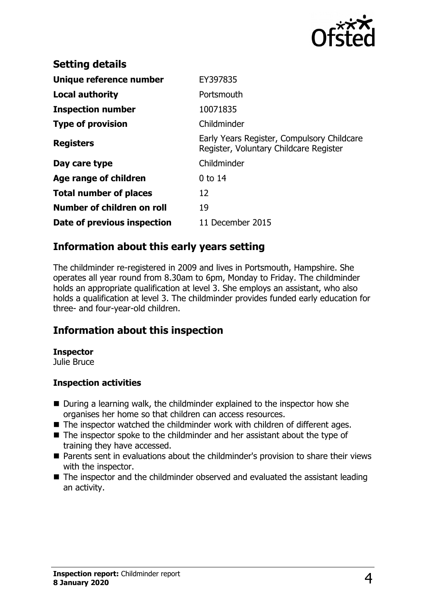

| <b>Setting details</b>        |                                                                                      |
|-------------------------------|--------------------------------------------------------------------------------------|
| Unique reference number       | EY397835                                                                             |
| Local authority               | Portsmouth                                                                           |
| <b>Inspection number</b>      | 10071835                                                                             |
| <b>Type of provision</b>      | Childminder                                                                          |
| <b>Registers</b>              | Early Years Register, Compulsory Childcare<br>Register, Voluntary Childcare Register |
| Day care type                 | Childminder                                                                          |
| Age range of children         | $0$ to 14                                                                            |
| <b>Total number of places</b> | 12                                                                                   |
| Number of children on roll    | 19                                                                                   |
| Date of previous inspection   | 11 December 2015                                                                     |

## **Information about this early years setting**

The childminder re-registered in 2009 and lives in Portsmouth, Hampshire. She operates all year round from 8.30am to 6pm, Monday to Friday. The childminder holds an appropriate qualification at level 3. She employs an assistant, who also holds a qualification at level 3. The childminder provides funded early education for three- and four-year-old children.

## **Information about this inspection**

#### **Inspector**

Julie Bruce

#### **Inspection activities**

- $\blacksquare$  During a learning walk, the childminder explained to the inspector how she organises her home so that children can access resources.
- $\blacksquare$  The inspector watched the childminder work with children of different ages.
- $\blacksquare$  The inspector spoke to the childminder and her assistant about the type of training they have accessed.
- Parents sent in evaluations about the childminder's provision to share their views with the inspector.
- $\blacksquare$  The inspector and the childminder observed and evaluated the assistant leading an activity.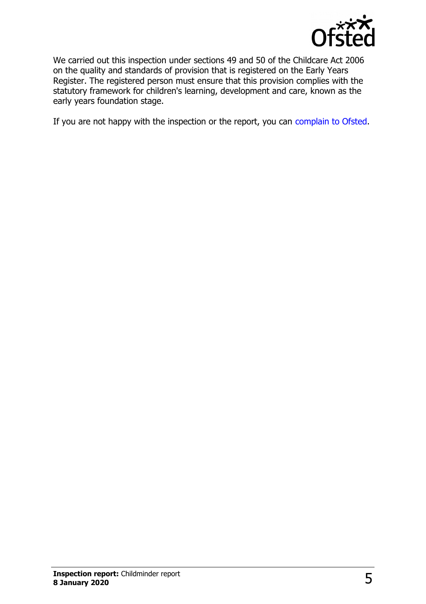

We carried out this inspection under sections 49 and 50 of the Childcare Act 2006 on the quality and standards of provision that is registered on the Early Years Register. The registered person must ensure that this provision complies with the statutory framework for children's learning, development and care, known as the early years foundation stage.

If you are not happy with the inspection or the report, you can [complain to Ofsted.](http://www.gov.uk/complain-ofsted-report)